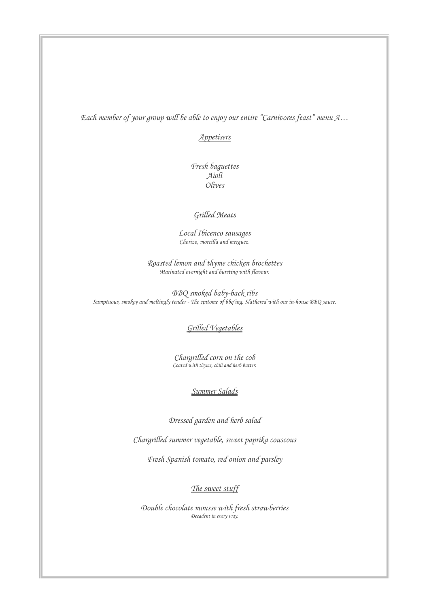*Each member of your group will be able to enjoy our entire "Carnivores feast" menu A…*

#### *Appetisers*

*Fresh baguettes Aioli Olives* 

### *Grilled Meats*

*Local Ibicenco sausages Chorizo, morcilla and merguez.*

*Roasted lemon and thyme chicken brochettes Marinated overnight and bursting with flavour.*

*BBQ smoked baby-back ribs Sumptuous, smokey and meltingly tender - The epitome of bbq'ing. Slathered with our in-house BBQ sauce.*

# *Grilled Vegetables*

*Chargrilled corn on the cob Coated with thyme, chili and herb butter.*

## *Summer Salads*

*Dressed garden and herb salad*

*Chargrilled summer vegetable, sweet paprika couscous*

*Fresh Spanish tomato, red onion and parsley* 

### *The sweet stuff*

*Double chocolate mousse with fresh strawberries Decadent in every way.*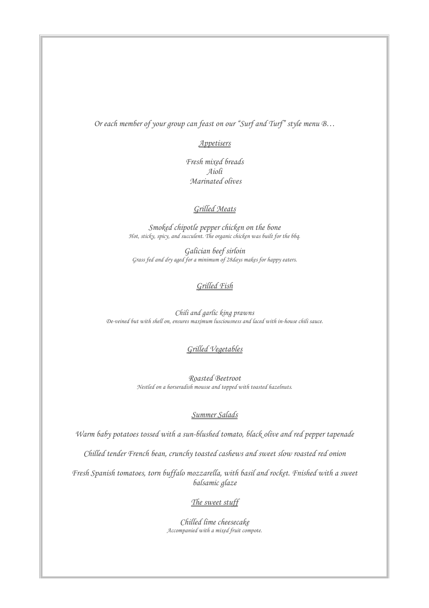*Or each member of your group can feast on our "Surf and Turf" style menu B…*

### *Appetisers*

*Fresh mixed breads Aioli Marinated olives* 

### *Grilled Meats*

*Smoked chipotle pepper chicken on the bone Hot, sticky, spicy, and succulent. The organic chicken was built for the bbq.*

*Galician beef sirloin Grass fed and dry aged for a minimum of 28days makes for happy eaters.*

### *Grilled Fish*

*Chili and garlic king prawns De-veined but with shell on, ensures maximum lusciousness and laced with in-house chili sauce.*

# *Grilled Vegetables*

*Roasted Beetroot Nestled on a horseradish mousse and topped with toasted hazelnuts.*

### *Summer Salads*

*Warm baby potatoes tossed with a sun-blushed tomato, black olive and red pepper tapenade*

*Chilled tender French bean, crunchy toasted cashews and sweet slow roasted red onion*

*Fresh Spanish tomatoes, torn buffalo mozzarella, with basil and rocket. Fnished with a sweet balsamic glaze*

# *The sweet stuff*

*Chilled lime cheesecake Accompanied with a mixed fruit compote.*